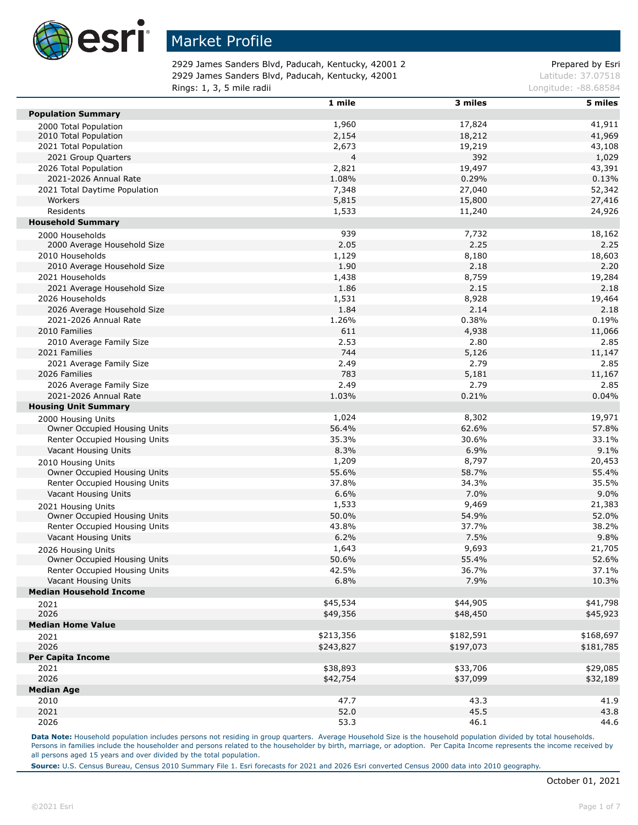

2929 James Sanders Blvd, Paducah, Kentucky, 42001 2 Prepared by Esri 2929 James Sanders Blvd, Paducah, Kentucky, 42001 Latitude: 37.07518 **Rings: 1, 3, 5 mile radii Longitude: -88.68584 Longitude: -88.68584** 

|                                | 1 mile    | 3 miles   | 5 miles   |
|--------------------------------|-----------|-----------|-----------|
| <b>Population Summary</b>      |           |           |           |
| 2000 Total Population          | 1,960     | 17,824    | 41,911    |
| 2010 Total Population          | 2,154     | 18,212    | 41,969    |
| 2021 Total Population          | 2,673     | 19,219    | 43,108    |
| 2021 Group Quarters            | 4         | 392       | 1,029     |
| 2026 Total Population          | 2,821     | 19,497    | 43,391    |
| 2021-2026 Annual Rate          | 1.08%     | 0.29%     | 0.13%     |
| 2021 Total Daytime Population  | 7,348     | 27,040    | 52,342    |
| Workers                        | 5,815     | 15,800    | 27,416    |
| Residents                      | 1,533     | 11,240    | 24,926    |
| <b>Household Summary</b>       |           |           |           |
| 2000 Households                | 939       | 7,732     | 18,162    |
| 2000 Average Household Size    | 2.05      | 2.25      | 2.25      |
| 2010 Households                | 1,129     | 8,180     | 18,603    |
| 2010 Average Household Size    | 1.90      | 2.18      | 2.20      |
| 2021 Households                | 1,438     | 8,759     | 19,284    |
| 2021 Average Household Size    | 1.86      | 2.15      | 2.18      |
| 2026 Households                | 1,531     | 8,928     | 19,464    |
| 2026 Average Household Size    | 1.84      | 2.14      | 2.18      |
| 2021-2026 Annual Rate          | 1.26%     | 0.38%     | 0.19%     |
| 2010 Families                  |           |           |           |
|                                | 611       | 4,938     | 11,066    |
| 2010 Average Family Size       | 2.53      | 2.80      | 2.85      |
| 2021 Families                  | 744       | 5,126     | 11,147    |
| 2021 Average Family Size       | 2.49      | 2.79      | 2.85      |
| 2026 Families                  | 783       | 5,181     | 11,167    |
| 2026 Average Family Size       | 2.49      | 2.79      | 2.85      |
| 2021-2026 Annual Rate          | 1.03%     | 0.21%     | 0.04%     |
| <b>Housing Unit Summary</b>    |           |           |           |
| 2000 Housing Units             | 1,024     | 8,302     | 19,971    |
| Owner Occupied Housing Units   | 56.4%     | 62.6%     | 57.8%     |
| Renter Occupied Housing Units  | 35.3%     | 30.6%     | 33.1%     |
| Vacant Housing Units           | 8.3%      | 6.9%      | 9.1%      |
| 2010 Housing Units             | 1,209     | 8,797     | 20,453    |
| Owner Occupied Housing Units   | 55.6%     | 58.7%     | 55.4%     |
| Renter Occupied Housing Units  | 37.8%     | 34.3%     | 35.5%     |
| Vacant Housing Units           | 6.6%      | 7.0%      | 9.0%      |
| 2021 Housing Units             | 1,533     | 9,469     | 21,383    |
| Owner Occupied Housing Units   | 50.0%     | 54.9%     | 52.0%     |
| Renter Occupied Housing Units  | 43.8%     | 37.7%     | 38.2%     |
| Vacant Housing Units           | 6.2%      | 7.5%      | 9.8%      |
| 2026 Housing Units             | 1,643     | 9,693     | 21,705    |
| Owner Occupied Housing Units   | 50.6%     | 55.4%     | 52.6%     |
| Renter Occupied Housing Units  | 42.5%     | 36.7%     | 37.1%     |
| Vacant Housing Units           | 6.8%      | 7.9%      | 10.3%     |
| <b>Median Household Income</b> |           |           |           |
| 2021                           | \$45,534  | \$44,905  | \$41,798  |
| 2026                           | \$49,356  | \$48,450  | \$45,923  |
| <b>Median Home Value</b>       |           |           |           |
|                                | \$213,356 | \$182,591 | \$168,697 |
| 2021<br>2026                   |           |           |           |
|                                | \$243,827 | \$197,073 | \$181,785 |
| <b>Per Capita Income</b>       |           | \$33,706  |           |
| 2021                           | \$38,893  |           | \$29,085  |
| 2026                           | \$42,754  | \$37,099  | \$32,189  |
| <b>Median Age</b>              |           |           |           |
| 2010                           | 47.7      | 43.3      | 41.9      |
| 2021                           | 52.0      | 45.5      | 43.8      |
| 2026                           | 53.3      | 46.1      | 44.6      |

Data Note: Household population includes persons not residing in group quarters. Average Household Size is the household population divided by total households. Persons in families include the householder and persons related to the householder by birth, marriage, or adoption. Per Capita Income represents the income received by all persons aged 15 years and over divided by the total population.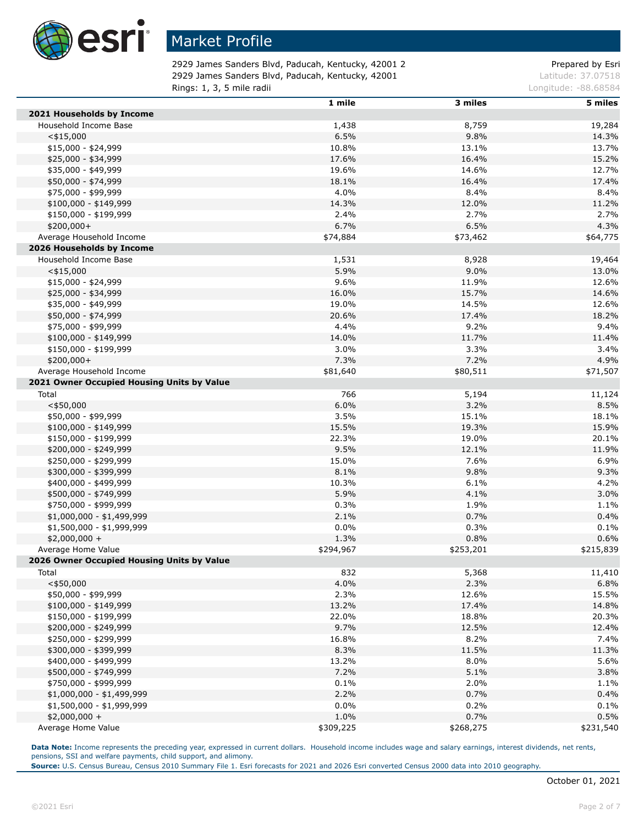

2929 James Sanders Blvd, Paducah, Kentucky, 42001 2 Prepared by Esri 2929 James Sanders Blvd, Paducah, Kentucky, 42001 Latitude: 37.07518 **Rings: 1, 3, 5 mile radii Longitude: -88.68584 Longitude: -88.68584** 

|                                            | 1 mile    | 3 miles   | 5 miles   |
|--------------------------------------------|-----------|-----------|-----------|
| 2021 Households by Income                  |           |           |           |
| Household Income Base                      | 1,438     | 8,759     | 19,284    |
| $<$ \$15,000                               | 6.5%      | 9.8%      | 14.3%     |
| $$15,000 - $24,999$                        | 10.8%     | 13.1%     | 13.7%     |
| \$25,000 - \$34,999                        | 17.6%     | 16.4%     | 15.2%     |
| \$35,000 - \$49,999                        | 19.6%     | 14.6%     | 12.7%     |
| \$50,000 - \$74,999                        | 18.1%     | 16.4%     | 17.4%     |
| \$75,000 - \$99,999                        | 4.0%      | 8.4%      | 8.4%      |
| $$100,000 - $149,999$                      | 14.3%     | 12.0%     | 11.2%     |
| \$150,000 - \$199,999                      | 2.4%      | 2.7%      | 2.7%      |
| $$200,000+$                                | 6.7%      | 6.5%      | 4.3%      |
| Average Household Income                   | \$74,884  | \$73,462  | \$64,775  |
| 2026 Households by Income                  |           |           |           |
| Household Income Base                      | 1,531     | 8,928     | 19,464    |
| $<$ \$15,000                               | 5.9%      | 9.0%      | 13.0%     |
| $$15,000 - $24,999$                        | 9.6%      | 11.9%     | 12.6%     |
|                                            |           | 15.7%     |           |
| \$25,000 - \$34,999                        | 16.0%     |           | 14.6%     |
| \$35,000 - \$49,999                        | 19.0%     | 14.5%     | 12.6%     |
| \$50,000 - \$74,999                        | 20.6%     | 17.4%     | 18.2%     |
| \$75,000 - \$99,999                        | 4.4%      | 9.2%      | 9.4%      |
| \$100,000 - \$149,999                      | 14.0%     | 11.7%     | 11.4%     |
| \$150,000 - \$199,999                      | 3.0%      | 3.3%      | 3.4%      |
| $$200,000+$                                | 7.3%      | 7.2%      | 4.9%      |
| Average Household Income                   | \$81,640  | \$80,511  | \$71,507  |
| 2021 Owner Occupied Housing Units by Value |           |           |           |
| Total                                      | 766       | 5,194     | 11,124    |
| $<$ \$50,000                               | 6.0%      | 3.2%      | 8.5%      |
| \$50,000 - \$99,999                        | 3.5%      | 15.1%     | 18.1%     |
| $$100,000 - $149,999$                      | 15.5%     | 19.3%     | 15.9%     |
| \$150,000 - \$199,999                      | 22.3%     | 19.0%     | 20.1%     |
| \$200,000 - \$249,999                      | 9.5%      | 12.1%     | 11.9%     |
| \$250,000 - \$299,999                      | 15.0%     | 7.6%      | 6.9%      |
| \$300,000 - \$399,999                      | 8.1%      | 9.8%      | 9.3%      |
| \$400,000 - \$499,999                      | 10.3%     | 6.1%      | 4.2%      |
| \$500,000 - \$749,999                      | 5.9%      | 4.1%      | 3.0%      |
| \$750,000 - \$999,999                      | 0.3%      | 1.9%      | 1.1%      |
| $$1,000,000 - $1,499,999$                  | 2.1%      | 0.7%      | 0.4%      |
| \$1,500,000 - \$1,999,999                  | 0.0%      | 0.3%      | 0.1%      |
| $$2,000,000 +$                             | 1.3%      | 0.8%      | 0.6%      |
| Average Home Value                         | \$294,967 | \$253,201 | \$215,839 |
| 2026 Owner Occupied Housing Units by Value |           |           |           |
| Total                                      | 832       | 5,368     | 11,410    |
| $<$ \$50,000                               | 4.0%      | 2.3%      | 6.8%      |
| \$50,000 - \$99,999                        | 2.3%      | 12.6%     | 15.5%     |
| $$100,000 - $149,999$                      | 13.2%     | 17.4%     | 14.8%     |
| \$150,000 - \$199,999                      | 22.0%     | 18.8%     | 20.3%     |
| \$200,000 - \$249,999                      | 9.7%      | 12.5%     | 12.4%     |
| \$250,000 - \$299,999                      | 16.8%     | 8.2%      | 7.4%      |
| \$300,000 - \$399,999                      | 8.3%      | 11.5%     | 11.3%     |
| \$400,000 - \$499,999                      | 13.2%     | 8.0%      | 5.6%      |
| \$500,000 - \$749,999                      | 7.2%      | 5.1%      | 3.8%      |
| \$750,000 - \$999,999                      | 0.1%      | 2.0%      | 1.1%      |
| $$1,000,000 - $1,499,999$                  | 2.2%      | 0.7%      | 0.4%      |
| $$1,500,000 - $1,999,999$                  | 0.0%      | 0.2%      | 0.1%      |
|                                            | 1.0%      | 0.7%      | 0.5%      |
| $$2,000,000 +$<br>Average Home Value       | \$309,225 | \$268,275 |           |
|                                            |           |           | \$231,540 |

**Data Note:** Income represents the preceding year, expressed in current dollars. Household income includes wage and salary earnings, interest dividends, net rents, pensions, SSI and welfare payments, child support, and alimony.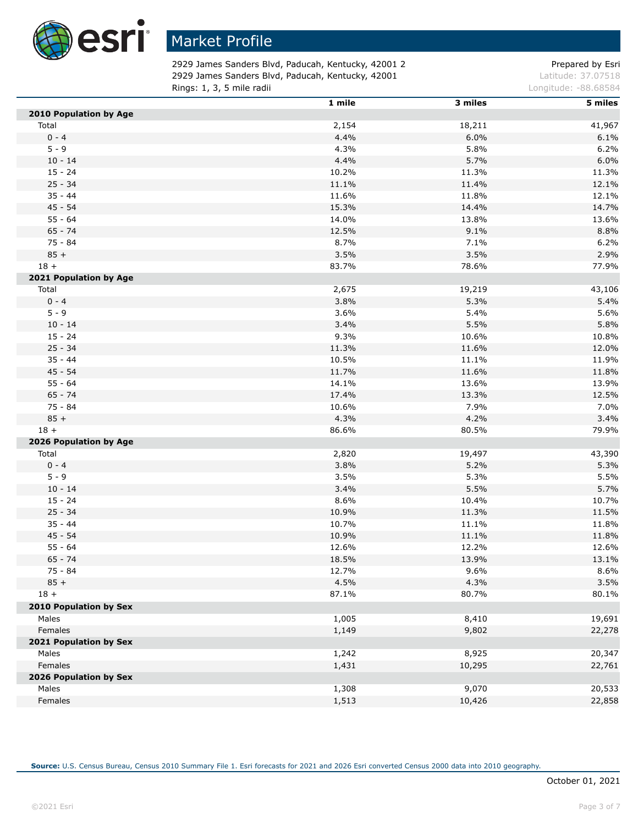

2929 James Sanders Blvd, Paducah, Kentucky, 42001 2 Prepared by Esri 2929 James Sanders Blvd, Paducah, Kentucky, 42001 Latitude: 37.07518 **Rings: 1, 3, 5 mile radii Longitude: -88.68584 Longitude: -88.68584** 

|                               | 1 mile | 3 miles | 5 miles |
|-------------------------------|--------|---------|---------|
| 2010 Population by Age        |        |         |         |
| Total                         | 2,154  | 18,211  | 41,967  |
| $0 - 4$                       | 4.4%   | 6.0%    | 6.1%    |
| $5 - 9$                       | 4.3%   | 5.8%    | 6.2%    |
| $10 - 14$                     | 4.4%   | 5.7%    | 6.0%    |
| $15 - 24$                     | 10.2%  | 11.3%   | 11.3%   |
| $25 - 34$                     | 11.1%  | 11.4%   | 12.1%   |
| $35 - 44$                     | 11.6%  | 11.8%   | 12.1%   |
| $45 - 54$                     | 15.3%  | 14.4%   | 14.7%   |
| $55 - 64$                     | 14.0%  | 13.8%   | 13.6%   |
| $65 - 74$                     | 12.5%  | 9.1%    | 8.8%    |
| 75 - 84                       | 8.7%   | 7.1%    | 6.2%    |
| $85 +$                        | 3.5%   | 3.5%    | 2.9%    |
| $18 +$                        | 83.7%  | 78.6%   | 77.9%   |
| 2021 Population by Age        |        |         |         |
| Total                         | 2,675  | 19,219  | 43,106  |
| $0 - 4$                       | 3.8%   | 5.3%    | 5.4%    |
| $5 - 9$                       | 3.6%   | 5.4%    | 5.6%    |
| $10 - 14$                     | 3.4%   | 5.5%    | 5.8%    |
| $15 - 24$                     | 9.3%   | 10.6%   | 10.8%   |
| $25 - 34$                     | 11.3%  | 11.6%   | 12.0%   |
| $35 - 44$                     | 10.5%  | 11.1%   | 11.9%   |
| $45 - 54$                     | 11.7%  | 11.6%   | 11.8%   |
| $55 - 64$                     | 14.1%  | 13.6%   | 13.9%   |
| $65 - 74$                     | 17.4%  | 13.3%   | 12.5%   |
| 75 - 84                       | 10.6%  | 7.9%    | 7.0%    |
| $85 +$                        | 4.3%   | 4.2%    | 3.4%    |
| $18 +$                        | 86.6%  | 80.5%   | 79.9%   |
| 2026 Population by Age        |        |         |         |
| Total                         | 2,820  | 19,497  | 43,390  |
| $0 - 4$                       | 3.8%   | 5.2%    | 5.3%    |
| $5 - 9$                       | 3.5%   | 5.3%    | 5.5%    |
| $10 - 14$                     | 3.4%   | 5.5%    | 5.7%    |
| $15 - 24$                     | 8.6%   | 10.4%   | 10.7%   |
| $25 - 34$                     | 10.9%  | 11.3%   | 11.5%   |
| $35 - 44$                     | 10.7%  | 11.1%   | 11.8%   |
| $45 - 54$                     | 10.9%  | 11.1%   | 11.8%   |
| $55 - 64$                     | 12.6%  | 12.2%   | 12.6%   |
| $65 - 74$                     | 18.5%  | 13.9%   | 13.1%   |
| 75 - 84                       | 12.7%  | 9.6%    | 8.6%    |
| $85 +$                        | 4.5%   | 4.3%    | 3.5%    |
| $18 +$                        | 87.1%  | 80.7%   | 80.1%   |
| <b>2010 Population by Sex</b> |        |         |         |
| Males                         | 1,005  | 8,410   | 19,691  |
| Females                       | 1,149  | 9,802   | 22,278  |
| 2021 Population by Sex        |        |         |         |
| Males                         | 1,242  | 8,925   | 20,347  |
| Females                       | 1,431  | 10,295  | 22,761  |
| 2026 Population by Sex        |        |         |         |
| Males                         | 1,308  | 9,070   | 20,533  |
| Females                       | 1,513  | 10,426  | 22,858  |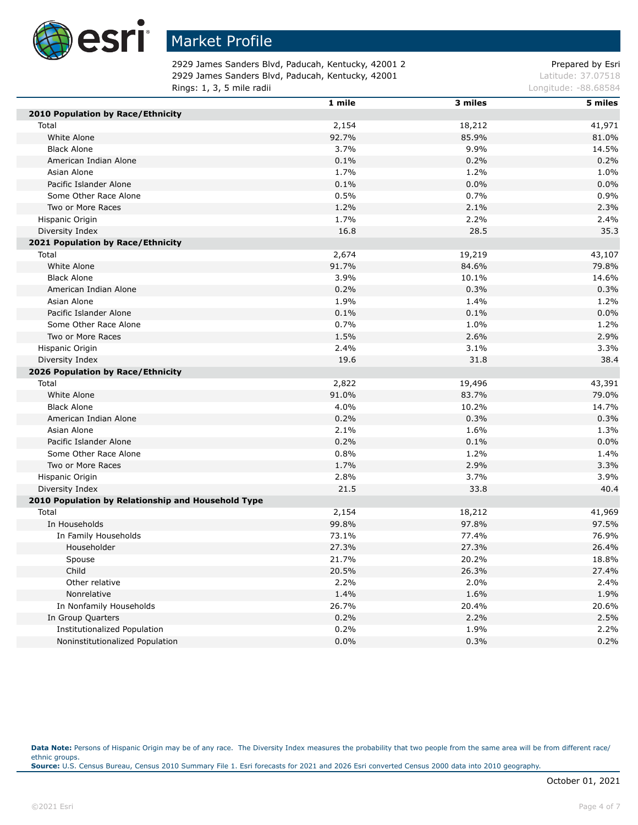

2929 James Sanders Blvd, Paducah, Kentucky, 42001 2 Prepared by Esri 2929 James Sanders Blvd, Paducah, Kentucky, 42001 Latitude: 37.07518 **Rings: 1, 3, 5 mile radii Longitude: -88.68584 Longitude: -88.68584** 

|                                                    | 1 mile | 3 miles | 5 miles |
|----------------------------------------------------|--------|---------|---------|
| 2010 Population by Race/Ethnicity                  |        |         |         |
| Total                                              | 2,154  | 18,212  | 41,971  |
| White Alone                                        | 92.7%  | 85.9%   | 81.0%   |
| <b>Black Alone</b>                                 | 3.7%   | 9.9%    | 14.5%   |
| American Indian Alone                              | 0.1%   | 0.2%    | 0.2%    |
| Asian Alone                                        | 1.7%   | 1.2%    | 1.0%    |
| Pacific Islander Alone                             | 0.1%   | 0.0%    | 0.0%    |
| Some Other Race Alone                              | 0.5%   | 0.7%    | 0.9%    |
| Two or More Races                                  | 1.2%   | 2.1%    | 2.3%    |
| Hispanic Origin                                    | 1.7%   | 2.2%    | 2.4%    |
| Diversity Index                                    | 16.8   | 28.5    | 35.3    |
| 2021 Population by Race/Ethnicity                  |        |         |         |
| Total                                              | 2,674  | 19,219  | 43,107  |
| White Alone                                        | 91.7%  | 84.6%   | 79.8%   |
| <b>Black Alone</b>                                 | 3.9%   | 10.1%   | 14.6%   |
| American Indian Alone                              | 0.2%   | 0.3%    | 0.3%    |
| Asian Alone                                        | 1.9%   | 1.4%    | 1.2%    |
| Pacific Islander Alone                             | 0.1%   | 0.1%    | 0.0%    |
| Some Other Race Alone                              | 0.7%   | 1.0%    | 1.2%    |
| Two or More Races                                  | 1.5%   | 2.6%    | 2.9%    |
| Hispanic Origin                                    | 2.4%   | 3.1%    | 3.3%    |
| Diversity Index                                    | 19.6   | 31.8    | 38.4    |
| 2026 Population by Race/Ethnicity                  |        |         |         |
| Total                                              | 2,822  | 19,496  | 43,391  |
| White Alone                                        | 91.0%  | 83.7%   | 79.0%   |
| <b>Black Alone</b>                                 | 4.0%   | 10.2%   | 14.7%   |
| American Indian Alone                              | 0.2%   | 0.3%    | 0.3%    |
| Asian Alone                                        | 2.1%   | 1.6%    | 1.3%    |
| Pacific Islander Alone                             | 0.2%   | 0.1%    | 0.0%    |
| Some Other Race Alone                              | 0.8%   | 1.2%    | 1.4%    |
| Two or More Races                                  | 1.7%   | 2.9%    | 3.3%    |
| Hispanic Origin                                    | 2.8%   | 3.7%    | 3.9%    |
| Diversity Index                                    | 21.5   | 33.8    | 40.4    |
| 2010 Population by Relationship and Household Type |        |         |         |
| Total                                              | 2,154  | 18,212  | 41,969  |
| In Households                                      | 99.8%  | 97.8%   | 97.5%   |
| In Family Households                               | 73.1%  | 77.4%   | 76.9%   |
| Householder                                        | 27.3%  | 27.3%   | 26.4%   |
| Spouse                                             | 21.7%  | 20.2%   | 18.8%   |
| Child                                              | 20.5%  | 26.3%   | 27.4%   |
| Other relative                                     | 2.2%   | 2.0%    | 2.4%    |
| Nonrelative                                        | 1.4%   | 1.6%    | 1.9%    |
| In Nonfamily Households                            | 26.7%  | 20.4%   | 20.6%   |
| In Group Quarters                                  | 0.2%   | 2.2%    | 2.5%    |
| <b>Institutionalized Population</b>                | 0.2%   | 1.9%    | 2.2%    |
| Noninstitutionalized Population                    | 0.0%   | 0.3%    | 0.2%    |

Data Note: Persons of Hispanic Origin may be of any race. The Diversity Index measures the probability that two people from the same area will be from different race/ ethnic groups. **Source:** U.S. Census Bureau, Census 2010 Summary File 1. Esri forecasts for 2021 and 2026 Esri converted Census 2000 data into 2010 geography.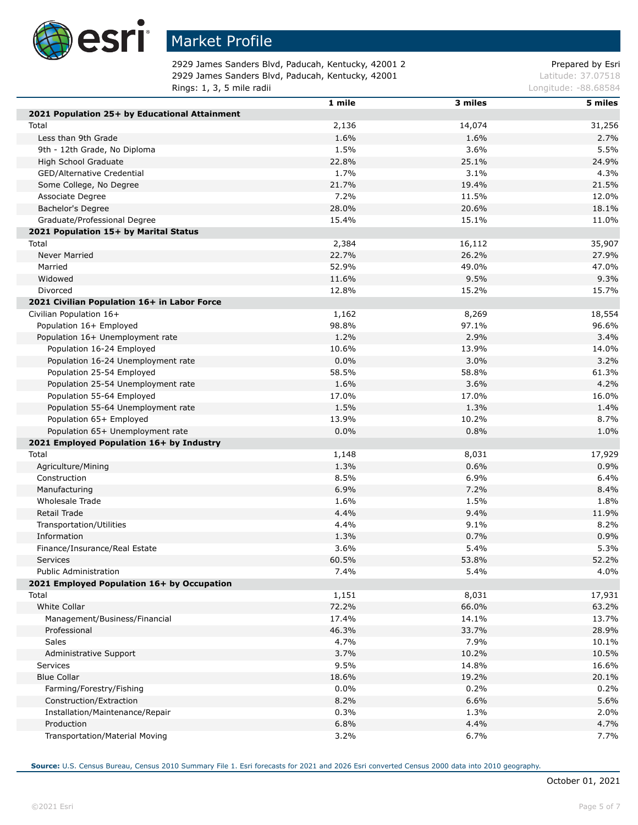

Г

Г

## Market Profile

2929 James Sanders Blvd, Paducah, Kentucky, 42001 2 Prepared by Esri 2929 James Sanders Blvd, Paducah, Kentucky, 42001 Latitude: 37.07518 **Rings: 1, 3, 5 mile radii Longitude: -88.68584 Longitude: -88.68584** 

|                                               | 1 mile | 3 miles | 5 miles |
|-----------------------------------------------|--------|---------|---------|
| 2021 Population 25+ by Educational Attainment |        |         |         |
| Total                                         | 2,136  | 14,074  | 31,256  |
| Less than 9th Grade                           | 1.6%   | 1.6%    | 2.7%    |
| 9th - 12th Grade, No Diploma                  | 1.5%   | 3.6%    | 5.5%    |
| High School Graduate                          | 22.8%  | 25.1%   | 24.9%   |
| GED/Alternative Credential                    | 1.7%   | $3.1\%$ | 4.3%    |
| Some College, No Degree                       | 21.7%  | 19.4%   | 21.5%   |
| Associate Degree                              | 7.2%   | 11.5%   | 12.0%   |
| Bachelor's Degree                             | 28.0%  | 20.6%   | 18.1%   |
| Graduate/Professional Degree                  | 15.4%  | 15.1%   | 11.0%   |
| 2021 Population 15+ by Marital Status         |        |         |         |
| Total                                         | 2,384  | 16,112  | 35,907  |
| Never Married                                 | 22.7%  | 26.2%   | 27.9%   |
| Married                                       | 52.9%  | 49.0%   | 47.0%   |
| Widowed                                       | 11.6%  | 9.5%    | 9.3%    |
| Divorced                                      | 12.8%  | 15.2%   | 15.7%   |
| 2021 Civilian Population 16+ in Labor Force   |        |         |         |
| Civilian Population 16+                       | 1,162  | 8,269   | 18,554  |
| Population 16+ Employed                       | 98.8%  | 97.1%   | 96.6%   |
| Population 16+ Unemployment rate              | 1.2%   | 2.9%    | 3.4%    |
| Population 16-24 Employed                     | 10.6%  | 13.9%   | 14.0%   |
| Population 16-24 Unemployment rate            | 0.0%   | 3.0%    | 3.2%    |
| Population 25-54 Employed                     | 58.5%  | 58.8%   | 61.3%   |
| Population 25-54 Unemployment rate            | 1.6%   | 3.6%    | 4.2%    |
| Population 55-64 Employed                     | 17.0%  | 17.0%   | 16.0%   |
| Population 55-64 Unemployment rate            | 1.5%   | 1.3%    | 1.4%    |
| Population 65+ Employed                       | 13.9%  | 10.2%   | 8.7%    |
| Population 65+ Unemployment rate              | 0.0%   | 0.8%    | 1.0%    |
| 2021 Employed Population 16+ by Industry      |        |         |         |
| Total                                         | 1,148  | 8,031   | 17,929  |
| Agriculture/Mining                            | 1.3%   | 0.6%    | 0.9%    |
| Construction                                  | 8.5%   | 6.9%    | 6.4%    |
| Manufacturing                                 | 6.9%   | 7.2%    | 8.4%    |
| Wholesale Trade                               | 1.6%   | 1.5%    | 1.8%    |
| Retail Trade                                  | 4.4%   | 9.4%    | 11.9%   |
| Transportation/Utilities                      | 4.4%   | 9.1%    | 8.2%    |
| Information                                   | 1.3%   | 0.7%    | 0.9%    |
| Finance/Insurance/Real Estate                 | 3.6%   | 5.4%    | 5.3%    |
| <b>Services</b>                               | 60.5%  | 53.8%   | 52.2%   |
| <b>Public Administration</b>                  | 7.4%   | 5.4%    | 4.0%    |
| 2021 Employed Population 16+ by Occupation    |        |         |         |
| Total                                         | 1,151  | 8,031   | 17,931  |
| White Collar                                  | 72.2%  | 66.0%   | 63.2%   |
| Management/Business/Financial                 | 17.4%  | 14.1%   | 13.7%   |
| Professional                                  | 46.3%  | 33.7%   | 28.9%   |
| Sales                                         | 4.7%   | 7.9%    | 10.1%   |
| Administrative Support                        | 3.7%   | 10.2%   | 10.5%   |
| Services                                      | 9.5%   | 14.8%   | 16.6%   |
| <b>Blue Collar</b>                            | 18.6%  | 19.2%   | 20.1%   |
| Farming/Forestry/Fishing                      | 0.0%   | 0.2%    | 0.2%    |
| Construction/Extraction                       | 8.2%   | 6.6%    | 5.6%    |
| Installation/Maintenance/Repair               | 0.3%   | 1.3%    | 2.0%    |
| Production                                    | 6.8%   | 4.4%    | 4.7%    |
| Transportation/Material Moving                | 3.2%   | 6.7%    | 7.7%    |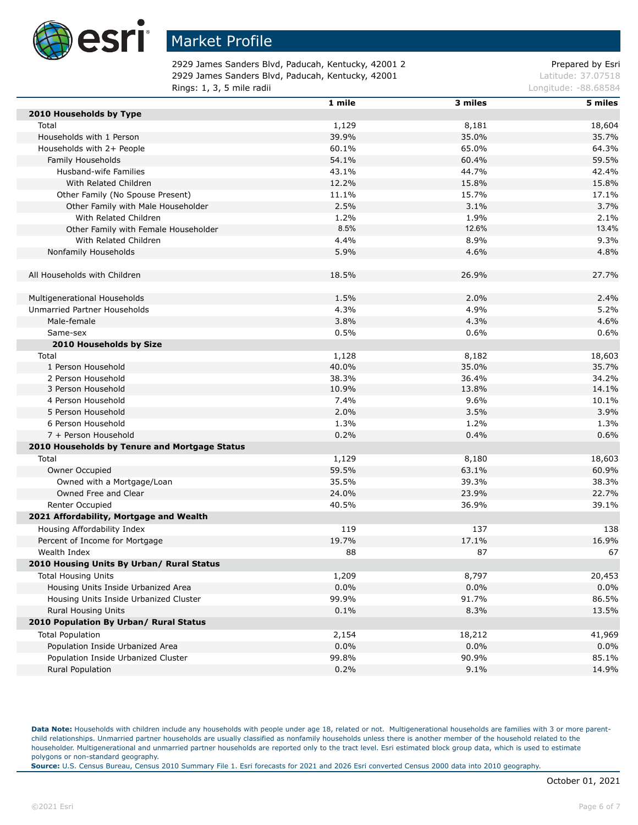

2929 James Sanders Blvd, Paducah, Kentucky, 42001 2 Prepared by Esri 2929 James Sanders Blvd, Paducah, Kentucky, 42001 Latitude: 37.07518 **Rings: 1, 3, 5 mile radii Congression Congress 20 and 20 and 20 and 20 and 20 and 20 and 20 and 20 and 20 and 20 and 20 and 20 and 20 and 20 and 20 and 20 and 20 and 20 and 20 and 20 and 20 and 20 and 20 and 20 and 20 a** 

|                                               | 1 mile | 3 miles | 5 miles |
|-----------------------------------------------|--------|---------|---------|
| 2010 Households by Type                       |        |         |         |
| Total                                         | 1,129  | 8,181   | 18,604  |
| Households with 1 Person                      | 39.9%  | 35.0%   | 35.7%   |
| Households with 2+ People                     | 60.1%  | 65.0%   | 64.3%   |
| Family Households                             | 54.1%  | 60.4%   | 59.5%   |
| Husband-wife Families                         | 43.1%  | 44.7%   | 42.4%   |
| With Related Children                         | 12.2%  | 15.8%   | 15.8%   |
| Other Family (No Spouse Present)              | 11.1%  | 15.7%   | 17.1%   |
| Other Family with Male Householder            | 2.5%   | 3.1%    | 3.7%    |
| With Related Children                         | 1.2%   | 1.9%    | 2.1%    |
| Other Family with Female Householder          | 8.5%   | 12.6%   | 13.4%   |
| With Related Children                         | 4.4%   | 8.9%    | 9.3%    |
| Nonfamily Households                          | 5.9%   | 4.6%    | 4.8%    |
| All Households with Children                  | 18.5%  | 26.9%   | 27.7%   |
|                                               |        |         |         |
| Multigenerational Households                  | 1.5%   | 2.0%    | 2.4%    |
| Unmarried Partner Households                  | 4.3%   | 4.9%    | 5.2%    |
| Male-female                                   | 3.8%   | 4.3%    | 4.6%    |
| Same-sex                                      | 0.5%   | 0.6%    | 0.6%    |
| 2010 Households by Size                       |        |         |         |
| Total                                         | 1,128  | 8,182   | 18,603  |
| 1 Person Household                            | 40.0%  | 35.0%   | 35.7%   |
| 2 Person Household                            | 38.3%  | 36.4%   | 34.2%   |
| 3 Person Household                            | 10.9%  | 13.8%   | 14.1%   |
| 4 Person Household                            | 7.4%   | 9.6%    | 10.1%   |
| 5 Person Household                            | 2.0%   | 3.5%    | 3.9%    |
| 6 Person Household                            | 1.3%   | 1.2%    | 1.3%    |
| 7 + Person Household                          | 0.2%   | 0.4%    | 0.6%    |
| 2010 Households by Tenure and Mortgage Status |        |         |         |
| Total                                         | 1,129  | 8,180   | 18,603  |
| Owner Occupied                                | 59.5%  | 63.1%   | 60.9%   |
| Owned with a Mortgage/Loan                    | 35.5%  | 39.3%   | 38.3%   |
| Owned Free and Clear                          | 24.0%  | 23.9%   | 22.7%   |
| Renter Occupied                               | 40.5%  | 36.9%   | 39.1%   |
| 2021 Affordability, Mortgage and Wealth       |        |         |         |
| Housing Affordability Index                   | 119    | 137     | 138     |
| Percent of Income for Mortgage                | 19.7%  | 17.1%   | 16.9%   |
| Wealth Index                                  | 88     | 87      | 67      |
| 2010 Housing Units By Urban/ Rural Status     |        |         |         |
| <b>Total Housing Units</b>                    | 1,209  | 8,797   | 20,453  |
|                                               |        |         |         |
| Housing Units Inside Urbanized Area           | 0.0%   | 0.0%    | 0.0%    |
| Housing Units Inside Urbanized Cluster        | 99.9%  | 91.7%   | 86.5%   |
| <b>Rural Housing Units</b>                    | 0.1%   | 8.3%    | 13.5%   |
| 2010 Population By Urban/ Rural Status        |        |         |         |
| <b>Total Population</b>                       | 2,154  | 18,212  | 41,969  |
| Population Inside Urbanized Area              | 0.0%   | 0.0%    | 0.0%    |
| Population Inside Urbanized Cluster           | 99.8%  | 90.9%   | 85.1%   |
| Rural Population                              | 0.2%   | 9.1%    | 14.9%   |

Data Note: Households with children include any households with people under age 18, related or not. Multigenerational households are families with 3 or more parentchild relationships. Unmarried partner households are usually classified as nonfamily households unless there is another member of the household related to the householder. Multigenerational and unmarried partner households are reported only to the tract level. Esri estimated block group data, which is used to estimate polygons or non-standard geography.